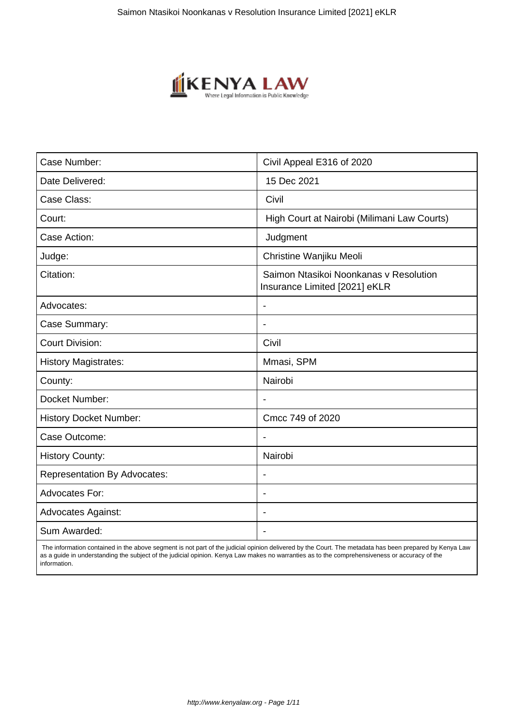

| Case Number:                        | Civil Appeal E316 of 2020                                               |
|-------------------------------------|-------------------------------------------------------------------------|
| Date Delivered:                     | 15 Dec 2021                                                             |
| Case Class:                         | Civil                                                                   |
| Court:                              | High Court at Nairobi (Milimani Law Courts)                             |
| Case Action:                        | Judgment                                                                |
| Judge:                              | Christine Wanjiku Meoli                                                 |
| Citation:                           | Saimon Ntasikoi Noonkanas v Resolution<br>Insurance Limited [2021] eKLR |
| Advocates:                          |                                                                         |
| Case Summary:                       |                                                                         |
| <b>Court Division:</b>              | Civil                                                                   |
| <b>History Magistrates:</b>         | Mmasi, SPM                                                              |
| County:                             | Nairobi                                                                 |
| Docket Number:                      |                                                                         |
| <b>History Docket Number:</b>       | Cmcc 749 of 2020                                                        |
| Case Outcome:                       |                                                                         |
| <b>History County:</b>              | Nairobi                                                                 |
| <b>Representation By Advocates:</b> | $\blacksquare$                                                          |
| Advocates For:                      | $\overline{\phantom{a}}$                                                |
| <b>Advocates Against:</b>           | $\overline{\phantom{0}}$                                                |
| Sum Awarded:                        |                                                                         |

 The information contained in the above segment is not part of the judicial opinion delivered by the Court. The metadata has been prepared by Kenya Law as a guide in understanding the subject of the judicial opinion. Kenya Law makes no warranties as to the comprehensiveness or accuracy of the information.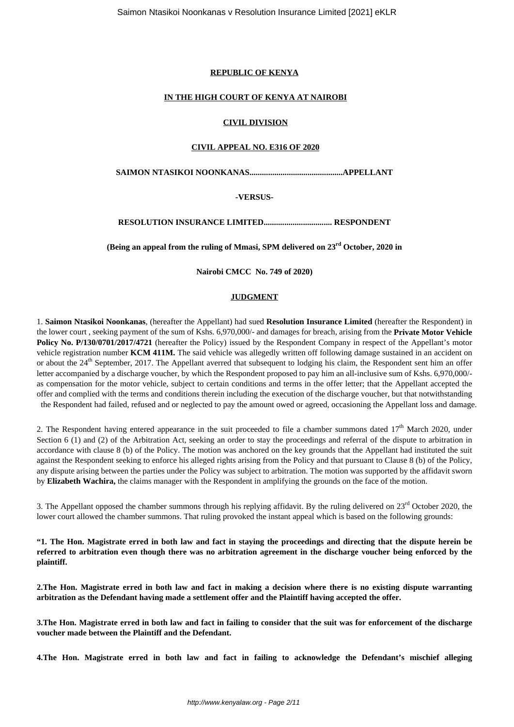#### **REPUBLIC OF KENYA**

#### **IN THE HIGH COURT OF KENYA AT NAIROBI**

# **CIVIL DIVISION**

# **CIVIL APPEAL NO. E316 OF 2020**

**SAIMON NTASIKOI NOONKANAS.............................................APPELLANT**

# **-VERSUS-**

**RESOLUTION INSURANCE LIMITED................................. RESPONDENT**

**(Being an appeal from the ruling of Mmasi, SPM delivered on 23rd October, 2020 in**

**Nairobi CMCC No. 749 of 2020)**

# **JUDGMENT**

1. **Saimon Ntasikoi Noonkanas**, (hereafter the Appellant) had sued **Resolution Insurance Limited** (hereafter the Respondent) in the lower court , seeking payment of the sum of Kshs. 6,970,000/- and damages for breach, arising from the **Private Motor Vehicle Policy No. P/130/0701/2017/4721** (hereafter the Policy) issued by the Respondent Company in respect of the Appellant's motor vehicle registration number **KCM 411M.** The said vehicle was allegedly written off following damage sustained in an accident on or about the  $24<sup>th</sup>$  September, 2017. The Appellant averred that subsequent to lodging his claim, the Respondent sent him an offer letter accompanied by a discharge voucher, by which the Respondent proposed to pay him an all-inclusive sum of Kshs. 6,970,000/ as compensation for the motor vehicle, subject to certain conditions and terms in the offer letter; that the Appellant accepted the offer and complied with the terms and conditions therein including the execution of the discharge voucher, but that notwithstanding the Respondent had failed, refused and or neglected to pay the amount owed or agreed, occasioning the Appellant loss and damage.

2. The Respondent having entered appearance in the suit proceeded to file a chamber summons dated  $17<sup>th</sup>$  March 2020, under Section 6 (1) and (2) of the Arbitration Act, seeking an order to stay the proceedings and referral of the dispute to arbitration in accordance with clause 8 (b) of the Policy. The motion was anchored on the key grounds that the Appellant had instituted the suit against the Respondent seeking to enforce his alleged rights arising from the Policy and that pursuant to Clause 8 (b) of the Policy, any dispute arising between the parties under the Policy was subject to arbitration. The motion was supported by the affidavit sworn by **Elizabeth Wachira,** the claims manager with the Respondent in amplifying the grounds on the face of the motion.

3. The Appellant opposed the chamber summons through his replying affidavit. By the ruling delivered on  $23<sup>rd</sup>$  October 2020, the lower court allowed the chamber summons. That ruling provoked the instant appeal which is based on the following grounds:

**"1. The Hon. Magistrate erred in both law and fact in staying the proceedings and directing that the dispute herein be referred to arbitration even though there was no arbitration agreement in the discharge voucher being enforced by the plaintiff.**

**2.The Hon. Magistrate erred in both law and fact in making a decision where there is no existing dispute warranting arbitration as the Defendant having made a settlement offer and the Plaintiff having accepted the offer.**

**3.The Hon. Magistrate erred in both law and fact in failing to consider that the suit was for enforcement of the discharge voucher made between the Plaintiff and the Defendant.**

**4.The Hon. Magistrate erred in both law and fact in failing to acknowledge the Defendant's mischief alleging**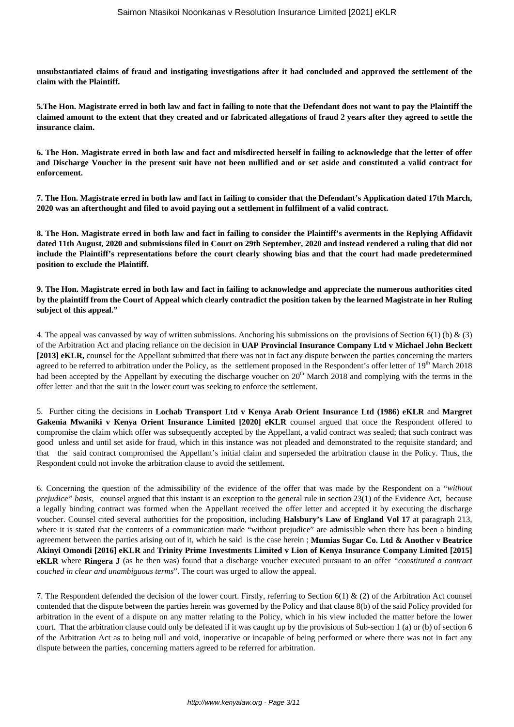**unsubstantiated claims of fraud and instigating investigations after it had concluded and approved the settlement of the claim with the Plaintiff.**

**5.The Hon. Magistrate erred in both law and fact in failing to note that the Defendant does not want to pay the Plaintiff the claimed amount to the extent that they created and or fabricated allegations of fraud 2 years after they agreed to settle the insurance claim.**

**6. The Hon. Magistrate erred in both law and fact and misdirected herself in failing to acknowledge that the letter of offer and Discharge Voucher in the present suit have not been nullified and or set aside and constituted a valid contract for enforcement.**

**7. The Hon. Magistrate erred in both law and fact in failing to consider that the Defendant's Application dated 17th March, 2020 was an afterthought and filed to avoid paying out a settlement in fulfilment of a valid contract.**

**8. The Hon. Magistrate erred in both law and fact in failing to consider the Plaintiff's averments in the Replying Affidavit dated 11th August, 2020 and submissions filed in Court on 29th September, 2020 and instead rendered a ruling that did not include the Plaintiff's representations before the court clearly showing bias and that the court had made predetermined position to exclude the Plaintiff.**

**9. The Hon. Magistrate erred in both law and fact in failing to acknowledge and appreciate the numerous authorities cited by the plaintiff from the Court of Appeal which clearly contradict the position taken by the learned Magistrate in her Ruling subject of this appeal."**

4. The appeal was canvassed by way of written submissions. Anchoring his submissions on the provisions of Section 6(1) (b) & (3) of the Arbitration Act and placing reliance on the decision in **UAP Provincial Insurance Company Ltd v Michael John Beckett [2013] eKLR,** counsel for the Appellant submitted that there was not in fact any dispute between the parties concerning the matters agreed to be referred to arbitration under the Policy, as the settlement proposed in the Respondent's offer letter of  $19<sup>th</sup>$  March 2018 had been accepted by the Appellant by executing the discharge voucher on  $20^{th}$  March 2018 and complying with the terms in the offer letter and that the suit in the lower court was seeking to enforce the settlement.

5. Further citing the decisions in **Lochab Transport Ltd v Kenya Arab Orient Insurance Ltd (1986) eKLR** and **Margret Gakenia Mwaniki v Kenya Orient Insurance Limited [2020] eKLR** counsel argued that once the Respondent offered to compromise the claim which offer was subsequently accepted by the Appellant, a valid contract was sealed; that such contract was good unless and until set aside for fraud, which in this instance was not pleaded and demonstrated to the requisite standard; and that the said contract compromised the Appellant's initial claim and superseded the arbitration clause in the Policy. Thus, the Respondent could not invoke the arbitration clause to avoid the settlement.

6. Concerning the question of the admissibility of the evidence of the offer that was made by the Respondent on a "*without prejudice" basis,* counsel argued that this instant is an exception to the general rule in section 23(1) of the Evidence Act, because a legally binding contract was formed when the Appellant received the offer letter and accepted it by executing the discharge voucher. Counsel cited several authorities for the proposition, including **Halsbury's Law of England Vol 17** at paragraph 213, where it is stated that the contents of a communication made "without prejudice" are admissible when there has been a binding agreement between the parties arising out of it, which he said is the case herein ; **Mumias Sugar Co. Ltd & Another v Beatrice Akinyi Omondi [2016] eKLR** and **Trinity Prime Investments Limited v Lion of Kenya Insurance Company Limited [2015] eKLR** where **Ringera J** (as he then was) found that a discharge voucher executed pursuant to an offer *"constituted a contract couched in clear and unambiguous terms*". The court was urged to allow the appeal.

7. The Respondent defended the decision of the lower court. Firstly, referring to Section 6(1) & (2) of the Arbitration Act counsel contended that the dispute between the parties herein was governed by the Policy and that clause 8(b) of the said Policy provided for arbitration in the event of a dispute on any matter relating to the Policy, which in his view included the matter before the lower court. That the arbitration clause could only be defeated if it was caught up by the provisions of Sub-section 1 (a) or (b) of section 6 of the Arbitration Act as to being null and void, inoperative or incapable of being performed or where there was not in fact any dispute between the parties, concerning matters agreed to be referred for arbitration.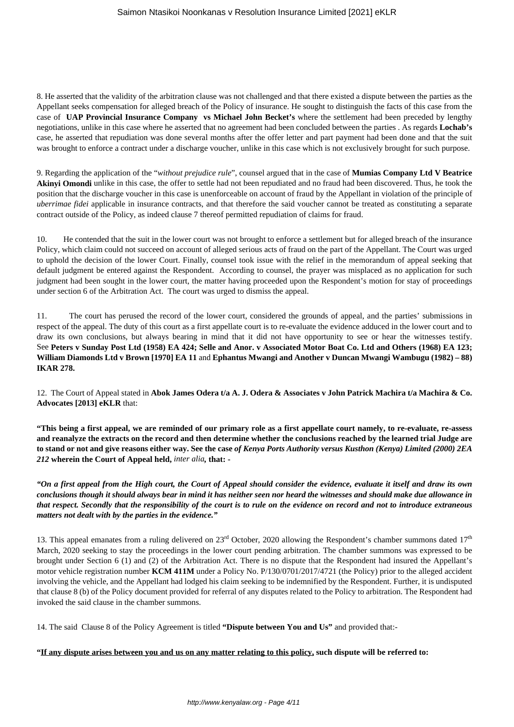8. He asserted that the validity of the arbitration clause was not challenged and that there existed a dispute between the parties as the Appellant seeks compensation for alleged breach of the Policy of insurance. He sought to distinguish the facts of this case from the case of **UAP Provincial Insurance Company vs Michael John Becket's** where the settlement had been preceded by lengthy negotiations, unlike in this case where he asserted that no agreement had been concluded between the parties . As regards **Lochab's** case, he asserted that repudiation was done several months after the offer letter and part payment had been done and that the suit was brought to enforce a contract under a discharge voucher, unlike in this case which is not exclusively brought for such purpose.

9. Regarding the application of the "*without prejudice rule*", counsel argued that in the case of **Mumias Company Ltd V Beatrice Akinyi Omondi** unlike in this case, the offer to settle had not been repudiated and no fraud had been discovered. Thus, he took the position that the discharge voucher in this case is unenforceable on account of fraud by the Appellant in violation of the principle of *uberrimae fidei* applicable in insurance contracts, and that therefore the said voucher cannot be treated as constituting a separate contract outside of the Policy, as indeed clause 7 thereof permitted repudiation of claims for fraud.

10. He contended that the suit in the lower court was not brought to enforce a settlement but for alleged breach of the insurance Policy, which claim could not succeed on account of alleged serious acts of fraud on the part of the Appellant. The Court was urged to uphold the decision of the lower Court. Finally, counsel took issue with the relief in the memorandum of appeal seeking that default judgment be entered against the Respondent. According to counsel, the prayer was misplaced as no application for such judgment had been sought in the lower court, the matter having proceeded upon the Respondent's motion for stay of proceedings under section 6 of the Arbitration Act. The court was urged to dismiss the appeal.

11. The court has perused the record of the lower court, considered the grounds of appeal, and the parties' submissions in respect of the appeal. The duty of this court as a first appellate court is to re-evaluate the evidence adduced in the lower court and to draw its own conclusions, but always bearing in mind that it did not have opportunity to see or hear the witnesses testify. See **Peters v Sunday Post Ltd (1958) EA 424; Selle and Anor. v Associated Motor Boat Co. Ltd and Others (1968) EA 123; William Diamonds Ltd v Brown [1970] EA 11** and **Ephantus Mwangi and Another v Duncan Mwangi Wambugu (1982) – 88) IKAR 278.**

12. The Court of Appeal stated in **Abok James Odera t/a A. J. Odera & Associates v John Patrick Machira t/a Machira & Co. Advocates [2013] eKLR** that:

**"This being a first appeal, we are reminded of our primary role as a first appellate court namely, to re-evaluate, re-assess and reanalyze the extracts on the record and then determine whether the conclusions reached by the learned trial Judge are to stand or not and give reasons either way. See the case** *of Kenya Ports Authority versus Kusthon (Kenya) Limited (2000) 2EA 212* **wherein the Court of Appeal held,** *inter alia,* **that: -**

*"On a first appeal from the High court, the Court of Appeal should consider the evidence, evaluate it itself and draw its own conclusions though it should always bear in mind it has neither seen nor heard the witnesses and should make due allowance in that respect. Secondly that the responsibility of the court is to rule on the evidence on record and not to introduce extraneous matters not dealt with by the parties in the evidence."*

13. This appeal emanates from a ruling delivered on  $23<sup>rd</sup>$  October, 2020 allowing the Respondent's chamber summons dated  $17<sup>th</sup>$ March, 2020 seeking to stay the proceedings in the lower court pending arbitration. The chamber summons was expressed to be brought under Section 6 (1) and (2) of the Arbitration Act. There is no dispute that the Respondent had insured the Appellant's motor vehicle registration number **KCM 411M** under a Policy No. P/130/0701/2017/4721 (the Policy) prior to the alleged accident involving the vehicle, and the Appellant had lodged his claim seeking to be indemnified by the Respondent. Further, it is undisputed that clause 8 (b) of the Policy document provided for referral of any disputes related to the Policy to arbitration. The Respondent had invoked the said clause in the chamber summons.

14. The said Clause 8 of the Policy Agreement is titled **"Dispute between You and Us"** and provided that:-

#### **"If any dispute arises between you and us on any matter relating to this policy, such dispute will be referred to:**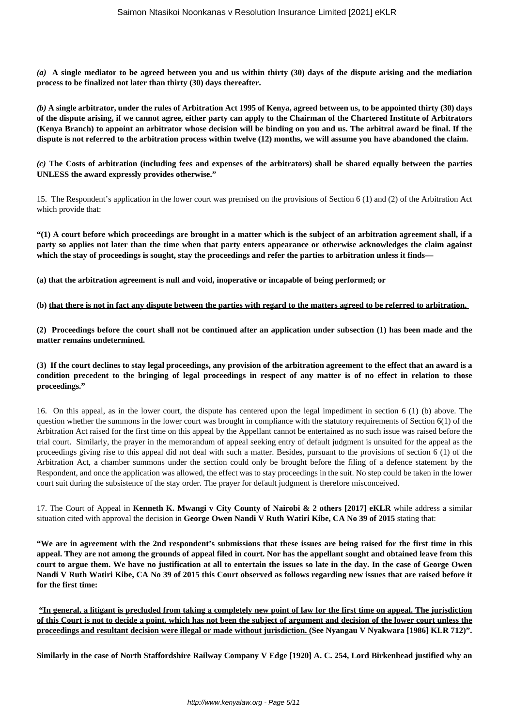*(a)* **A single mediator to be agreed between you and us within thirty (30) days of the dispute arising and the mediation process to be finalized not later than thirty (30) days thereafter.**

*(b)* **A single arbitrator, under the rules of Arbitration Act 1995 of Kenya, agreed between us, to be appointed thirty (30) days of the dispute arising, if we cannot agree, either party can apply to the Chairman of the Chartered Institute of Arbitrators (Kenya Branch) to appoint an arbitrator whose decision will be binding on you and us. The arbitral award be final. If the dispute is not referred to the arbitration process within twelve (12) months, we will assume you have abandoned the claim.**

*(c)* **The Costs of arbitration (including fees and expenses of the arbitrators) shall be shared equally between the parties UNLESS the award expressly provides otherwise."**

15. The Respondent's application in the lower court was premised on the provisions of Section 6 (1) and (2) of the Arbitration Act which provide that:

**"(1) A court before which proceedings are brought in a matter which is the subject of an arbitration agreement shall, if a party so applies not later than the time when that party enters appearance or otherwise acknowledges the claim against which the stay of proceedings is sought, stay the proceedings and refer the parties to arbitration unless it finds—** 

**(a) that the arbitration agreement is null and void, inoperative or incapable of being performed; or** 

**(b) that there is not in fact any dispute between the parties with regard to the matters agreed to be referred to arbitration.** 

**(2) Proceedings before the court shall not be continued after an application under subsection (1) has been made and the matter remains undetermined.** 

**(3) If the court declines to stay legal proceedings, any provision of the arbitration agreement to the effect that an award is a condition precedent to the bringing of legal proceedings in respect of any matter is of no effect in relation to those proceedings."**

16. On this appeal, as in the lower court, the dispute has centered upon the legal impediment in section 6 (1) (b) above. The question whether the summons in the lower court was brought in compliance with the statutory requirements of Section 6(1) of the Arbitration Act raised for the first time on this appeal by the Appellant cannot be entertained as no such issue was raised before the trial court. Similarly, the prayer in the memorandum of appeal seeking entry of default judgment is unsuited for the appeal as the proceedings giving rise to this appeal did not deal with such a matter. Besides, pursuant to the provisions of section 6 (1) of the Arbitration Act, a chamber summons under the section could only be brought before the filing of a defence statement by the Respondent, and once the application was allowed, the effect was to stay proceedings in the suit. No step could be taken in the lower court suit during the subsistence of the stay order. The prayer for default judgment is therefore misconceived.

17. The Court of Appeal in **Kenneth K. Mwangi v City County of Nairobi & 2 others [2017] eKLR** while address a similar situation cited with approval the decision in **George Owen Nandi V Ruth Watiri Kibe, CA No 39 of 2015** stating that:

**"We are in agreement with the 2nd respondent's submissions that these issues are being raised for the first time in this appeal. They are not among the grounds of appeal filed in court. Nor has the appellant sought and obtained leave from this court to argue them. We have no justification at all to entertain the issues so late in the day. In the case of George Owen Nandi V Ruth Watiri Kibe, CA No 39 of 2015 this Court observed as follows regarding new issues that are raised before it for the first time:**

**"In general, a litigant is precluded from taking a completely new point of law for the first time on appeal. The jurisdiction of this Court is not to decide a point, which has not been the subject of argument and decision of the lower court unless the proceedings and resultant decision were illegal or made without jurisdiction. (See Nyangau V Nyakwara [1986] KLR 712)".**

**Similarly in the case of North Staffordshire Railway Company V Edge [1920] A. C. 254, Lord Birkenhead justified why an**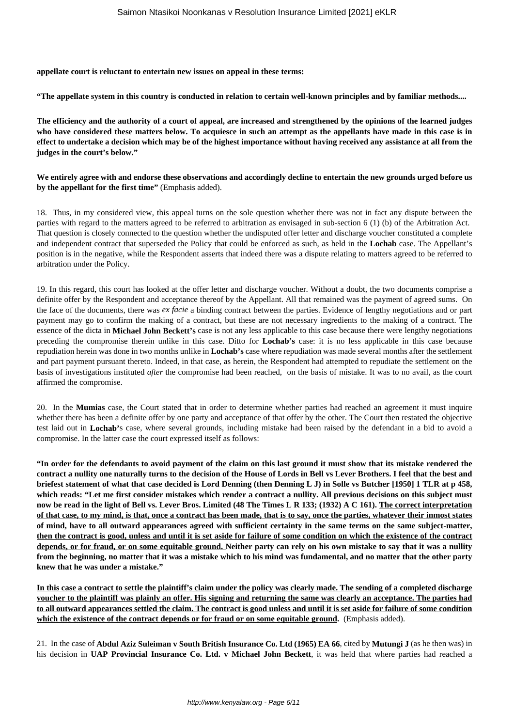**appellate court is reluctant to entertain new issues on appeal in these terms:**

**"The appellate system in this country is conducted in relation to certain well-known principles and by familiar methods....**

**The efficiency and the authority of a court of appeal, are increased and strengthened by the opinions of the learned judges who have considered these matters below. To acquiesce in such an attempt as the appellants have made in this case is in effect to undertake a decision which may be of the highest importance without having received any assistance at all from the judges in the court's below."**

**We entirely agree with and endorse these observations and accordingly decline to entertain the new grounds urged before us by the appellant for the first time"** (Emphasis added).

18. Thus, in my considered view, this appeal turns on the sole question whether there was not in fact any dispute between the parties with regard to the matters agreed to be referred to arbitration as envisaged in sub-section 6 (1) (b) of the Arbitration Act. That question is closely connected to the question whether the undisputed offer letter and discharge voucher constituted a complete and independent contract that superseded the Policy that could be enforced as such, as held in the **Lochab** case. The Appellant's position is in the negative, while the Respondent asserts that indeed there was a dispute relating to matters agreed to be referred to arbitration under the Policy.

19. In this regard, this court has looked at the offer letter and discharge voucher. Without a doubt, the two documents comprise a definite offer by the Respondent and acceptance thereof by the Appellant. All that remained was the payment of agreed sums. On the face of the documents, there was *ex facie* a binding contract between the parties. Evidence of lengthy negotiations and or part payment may go to confirm the making of a contract, but these are not necessary ingredients to the making of a contract. The essence of the dicta in **Michael John Beckett's** case is not any less applicable to this case because there were lengthy negotiations preceding the compromise therein unlike in this case. Ditto for **Lochab's** case: it is no less applicable in this case because repudiation herein was done in two months unlike in **Lochab's** case where repudiation was made several months after the settlement and part payment pursuant thereto. Indeed, in that case, as herein, the Respondent had attempted to repudiate the settlement on the basis of investigations instituted *after* the compromise had been reached, on the basis of mistake. It was to no avail, as the court affirmed the compromise.

20. In the **Mumias** case, the Court stated that in order to determine whether parties had reached an agreement it must inquire whether there has been a definite offer by one party and acceptance of that offer by the other. The Court then restated the objective test laid out in **Lochab'**s case, where several grounds, including mistake had been raised by the defendant in a bid to avoid a compromise. In the latter case the court expressed itself as follows:

**"In order for the defendants to avoid payment of the claim on this last ground it must show that its mistake rendered the contract a nullity one naturally turns to the decision of the House of Lords in Bell vs Lever Brothers. I feel that the best and briefest statement of what that case decided is Lord Denning (then Denning L J) in Solle vs Butcher [1950] 1 TLR at p 458, which reads: "Let me first consider mistakes which render a contract a nullity. All previous decisions on this subject must now be read in the light of Bell vs. Lever Bros. Limited (48 The Times L R 133; (1932) A C 161). The correct interpretation of that case, to my mind, is that, once a contract has been made, that is to say, once the parties, whatever their inmost states of mind, have to all outward appearances agreed with sufficient certainty in the same terms on the same subject-matter, then the contract is good, unless and until it is set aside for failure of some condition on which the existence of the contract depends, or for fraud, or on some equitable ground. Neither party can rely on his own mistake to say that it was a nullity from the beginning, no matter that it was a mistake which to his mind was fundamental, and no matter that the other party knew that he was under a mistake."**

**In this case a contract to settle the plaintiff's claim under the policy was clearly made. The sending of a completed discharge voucher to the plaintiff was plainly an offer. His signing and returning the same was clearly an acceptance. The parties had to all outward appearances settled the claim. The contract is good unless and until it is set aside for failure of some condition which the existence of the contract depends or for fraud or on some equitable ground.** (Emphasis added).

21. In the case of **Abdul Aziz Suleiman v South British Insurance Co. Ltd (1965) EA 66**, cited by **Mutungi J** (as he then was) in his decision in **UAP Provincial Insurance Co. Ltd. v Michael John Beckett**, it was held that where parties had reached a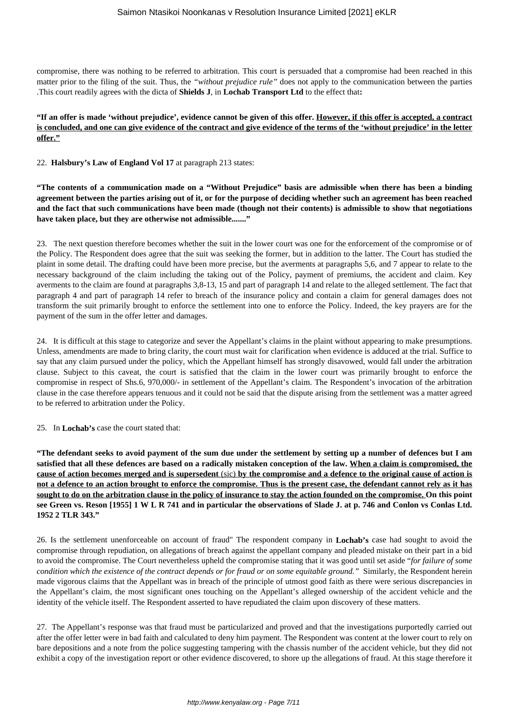compromise, there was nothing to be referred to arbitration. This court is persuaded that a compromise had been reached in this matter prior to the filing of the suit. Thus, the *"without prejudice rule"* does not apply to the communication between the parties .This court readily agrees with the dicta of **Shields J**, in **Lochab Transport Ltd** to the effect that**:**

# **"If an offer is made 'without prejudice', evidence cannot be given of this offer. However, if this offer is accepted, a contract is concluded, and one can give evidence of the contract and give evidence of the terms of the 'without prejudice' in the letter offer."**

22. **Halsbury's Law of England Vol 17** at paragraph 213 states:

**"The contents of a communication made on a "Without Prejudice" basis are admissible when there has been a binding agreement between the parties arising out of it, or for the purpose of deciding whether such an agreement has been reached and the fact that such communications have been made (though not their contents) is admissible to show that negotiations have taken place, but they are otherwise not admissible......."**

23. The next question therefore becomes whether the suit in the lower court was one for the enforcement of the compromise or of the Policy. The Respondent does agree that the suit was seeking the former, but in addition to the latter. The Court has studied the plaint in some detail. The drafting could have been more precise, but the averments at paragraphs 5,6, and 7 appear to relate to the necessary background of the claim including the taking out of the Policy, payment of premiums, the accident and claim. Key averments to the claim are found at paragraphs 3,8-13, 15 and part of paragraph 14 and relate to the alleged settlement. The fact that paragraph 4 and part of paragraph 14 refer to breach of the insurance policy and contain a claim for general damages does not transform the suit primarily brought to enforce the settlement into one to enforce the Policy. Indeed, the key prayers are for the payment of the sum in the offer letter and damages.

24. It is difficult at this stage to categorize and sever the Appellant's claims in the plaint without appearing to make presumptions. Unless, amendments are made to bring clarity, the court must wait for clarification when evidence is adduced at the trial. Suffice to say that any claim pursued under the policy, which the Appellant himself has strongly disavowed, would fall under the arbitration clause. Subject to this caveat, the court is satisfied that the claim in the lower court was primarily brought to enforce the compromise in respect of Shs.6, 970,000/- in settlement of the Appellant's claim. The Respondent's invocation of the arbitration clause in the case therefore appears tenuous and it could not be said that the dispute arising from the settlement was a matter agreed to be referred to arbitration under the Policy.

25. In **Lochab's** case the court stated that:

**"The defendant seeks to avoid payment of the sum due under the settlement by setting up a number of defences but I am satisfied that all these defences are based on a radically mistaken conception of the law. When a claim is compromised, the cause of action becomes merged and is supersedent** (sic) **by the compromise and a defence to the original cause of action is not a defence to an action brought to enforce the compromise. Thus is the present case, the defendant cannot rely as it has sought to do on the arbitration clause in the policy of insurance to stay the action founded on the compromise. On this point see Green vs. Reson [1955] 1 W L R 741 and in particular the observations of Slade J. at p. 746 and Conlon vs Conlas Ltd. 1952 2 TLR 343."**

26. Is the settlement unenforceable on account of fraud" The respondent company in **Lochab's** case had sought to avoid the compromise through repudiation, on allegations of breach against the appellant company and pleaded mistake on their part in a bid to avoid the compromise. The Court nevertheless upheld the compromise stating that it was good until set aside "*for failure of some condition which the existence of the contract depends or for fraud or on some equitable ground."* Similarly, the Respondent herein made vigorous claims that the Appellant was in breach of the principle of utmost good faith as there were serious discrepancies in the Appellant's claim, the most significant ones touching on the Appellant's alleged ownership of the accident vehicle and the identity of the vehicle itself. The Respondent asserted to have repudiated the claim upon discovery of these matters.

27. The Appellant's response was that fraud must be particularized and proved and that the investigations purportedly carried out after the offer letter were in bad faith and calculated to deny him payment. The Respondent was content at the lower court to rely on bare depositions and a note from the police suggesting tampering with the chassis number of the accident vehicle, but they did not exhibit a copy of the investigation report or other evidence discovered, to shore up the allegations of fraud. At this stage therefore it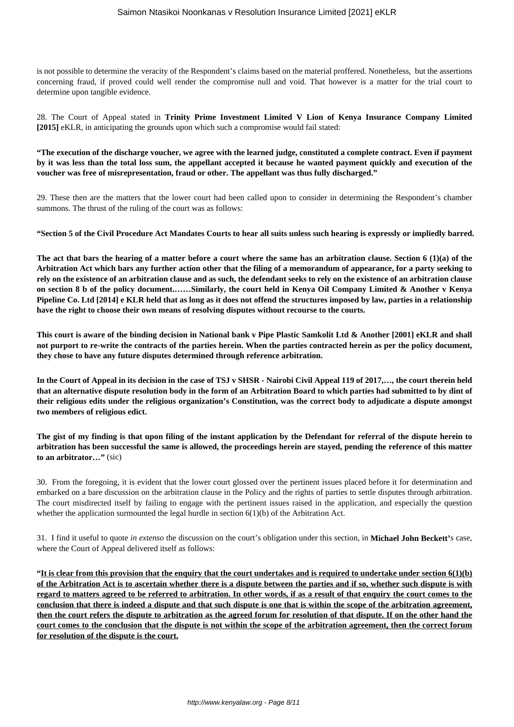is not possible to determine the veracity of the Respondent's claims based on the material proffered. Nonetheless, but the assertions concerning fraud, if proved could well render the compromise null and void. That however is a matter for the trial court to determine upon tangible evidence.

28. The Court of Appeal stated in **Trinity Prime Investment Limited V Lion of Kenya Insurance Company Limited [2015]** eKLR, in anticipating the grounds upon which such a compromise would fail stated:

**"The execution of the discharge voucher, we agree with the learned judge, constituted a complete contract. Even if payment by it was less than the total loss sum, the appellant accepted it because he wanted payment quickly and execution of the voucher was free of misrepresentation, fraud or other. The appellant was thus fully discharged."**

29. These then are the matters that the lower court had been called upon to consider in determining the Respondent's chamber summons. The thrust of the ruling of the court was as follows:

**"Section 5 of the Civil Procedure Act Mandates Courts to hear all suits unless such hearing is expressly or impliedly barred.**

**The act that bars the hearing of a matter before a court where the same has an arbitration clause. Section 6 (1)(a) of the Arbitration Act which bars any further action other that the filing of a memorandum of appearance, for a party seeking to rely on the existence of an arbitration clause and as such, the defendant seeks to rely on the existence of an arbitration clause on section 8 b of the policy document.……Similarly, the court held in Kenya Oil Company Limited & Another v Kenya Pipeline Co. Ltd [2014] e KLR held that as long as it does not offend the structures imposed by law, parties in a relationship have the right to choose their own means of resolving disputes without recourse to the courts.**

**This court is aware of the binding decision in National bank v Pipe Plastic Samkolit Ltd & Another [2001] eKLR and shall not purport to re-write the contracts of the parties herein. When the parties contracted herein as per the policy document, they chose to have any future disputes determined through reference arbitration.**

**In the Court of Appeal in its decision in the case of TSJ v SHSR - Nairobi Civil Appeal 119 of 2017,…, the court therein held that an alternative dispute resolution body in the form of an Arbitration Board to which parties had submitted to by dint of their religious edits under the religious organization's Constitution, was the correct body to adjudicate a dispute amongst two members of religious edict.**

**The gist of my finding is that upon filing of the instant application by the Defendant for referral of the dispute herein to arbitration has been successful the same is allowed, the proceedings herein are stayed, pending the reference of this matter to an arbitrator…"** (sic)

30. From the foregoing, it is evident that the lower court glossed over the pertinent issues placed before it for determination and embarked on a bare discussion on the arbitration clause in the Policy and the rights of parties to settle disputes through arbitration. The court misdirected itself by failing to engage with the pertinent issues raised in the application, and especially the question whether the application surmounted the legal hurdle in section  $6(1)(b)$  of the Arbitration Act.

31. I find it useful to quote *in extenso* the discussion on the court's obligation under this section, in **Michael John Beckett'**s case, where the Court of Appeal delivered itself as follows:

**"It is clear from this provision that the enquiry that the court undertakes and is required to undertake under section 6(1)(b) of the Arbitration Act is to ascertain whether there is a dispute between the parties and if so, whether such dispute is with regard to matters agreed to be referred to arbitration. In other words, if as a result of that enquiry the court comes to the conclusion that there is indeed a dispute and that such dispute is one that is within the scope of the arbitration agreement, then the court refers the dispute to arbitration as the agreed forum for resolution of that dispute. If on the other hand the court comes to the conclusion that the dispute is not within the scope of the arbitration agreement, then the correct forum for resolution of the dispute is the court.**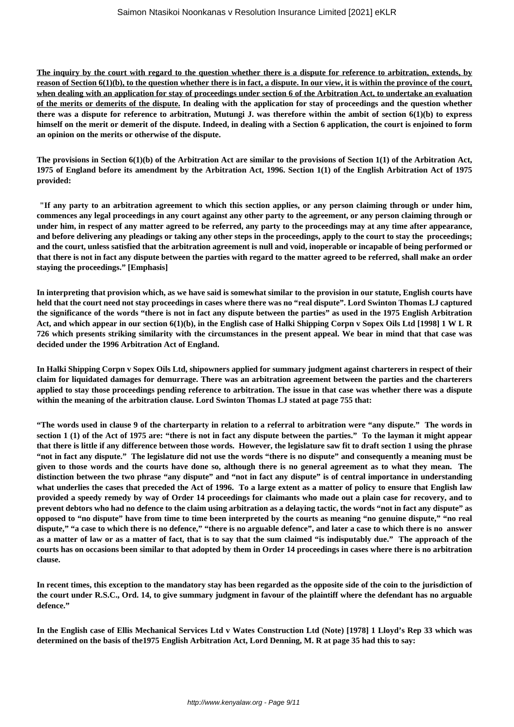**The inquiry by the court with regard to the question whether there is a dispute for reference to arbitration, extends, by reason of Section 6(1)(b), to the question whether there is in fact, a dispute. In our view, it is within the province of the court, when dealing with an application for stay of proceedings under section 6 of the Arbitration Act, to undertake an evaluation of the merits or demerits of the dispute. In dealing with the application for stay of proceedings and the question whether there was a dispute for reference to arbitration, Mutungi J. was therefore within the ambit of section 6(1)(b) to express himself on the merit or demerit of the dispute. Indeed, in dealing with a Section 6 application, the court is enjoined to form an opinion on the merits or otherwise of the dispute.**

**The provisions in Section 6(1)(b) of the Arbitration Act are similar to the provisions of Section 1(1) of the Arbitration Act, 1975 of England before its amendment by the Arbitration Act, 1996. Section 1(1) of the English Arbitration Act of 1975 provided:**

**"If any party to an arbitration agreement to which this section applies, or any person claiming through or under him, commences any legal proceedings in any court against any other party to the agreement, or any person claiming through or under him, in respect of any matter agreed to be referred, any party to the proceedings may at any time after appearance, and before delivering any pleadings or taking any other steps in the proceedings, apply to the court to stay the proceedings; and the court, unless satisfied that the arbitration agreement is null and void, inoperable or incapable of being performed or that there is not in fact any dispute between the parties with regard to the matter agreed to be referred, shall make an order staying the proceedings." [Emphasis]**

**In interpreting that provision which, as we have said is somewhat similar to the provision in our statute, English courts have held that the court need not stay proceedings in cases where there was no "real dispute". Lord Swinton Thomas LJ captured the significance of the words "there is not in fact any dispute between the parties" as used in the 1975 English Arbitration Act, and which appear in our section 6(1)(b), in the English case of Halki Shipping Corpn v Sopex Oils Ltd [1998] 1 W L R 726 which presents striking similarity with the circumstances in the present appeal. We bear in mind that that case was decided under the 1996 Arbitration Act of England.**

**In Halki Shipping Corpn v Sopex Oils Ltd, shipowners applied for summary judgment against charterers in respect of their claim for liquidated damages for demurrage. There was an arbitration agreement between the parties and the charterers applied to stay those proceedings pending reference to arbitration. The issue in that case was whether there was a dispute within the meaning of the arbitration clause. Lord Swinton Thomas LJ stated at page 755 that:**

**"The words used in clause 9 of the charterparty in relation to a referral to arbitration were "any dispute." The words in section 1 (1) of the Act of 1975 are: "there is not in fact any dispute between the parties." To the layman it might appear that there is little if any difference between those words. However, the legislature saw fit to draft section 1 using the phrase "not in fact any dispute." The legislature did not use the words "there is no dispute" and consequently a meaning must be given to those words and the courts have done so, although there is no general agreement as to what they mean. The distinction between the two phrase "any dispute" and "not in fact any dispute" is of central importance in understanding what underlies the cases that preceded the Act of 1996. To a large extent as a matter of policy to ensure that English law provided a speedy remedy by way of Order 14 proceedings for claimants who made out a plain case for recovery, and to prevent debtors who had no defence to the claim using arbitration as a delaying tactic, the words "not in fact any dispute" as opposed to "no dispute" have from time to time been interpreted by the courts as meaning "no genuine dispute," "no real dispute," "a case to which there is no defence," "there is no arguable defence", and later a case to which there is no answer as a matter of law or as a matter of fact, that is to say that the sum claimed "is indisputably due." The approach of the courts has on occasions been similar to that adopted by them in Order 14 proceedings in cases where there is no arbitration clause.**

**In recent times, this exception to the mandatory stay has been regarded as the opposite side of the coin to the jurisdiction of the court under R.S.C., Ord. 14, to give summary judgment in favour of the plaintiff where the defendant has no arguable defence."**

**In the English case of Ellis Mechanical Services Ltd v Wates Construction Ltd (Note) [1978] 1 Lloyd's Rep 33 which was determined on the basis of the1975 English Arbitration Act, Lord Denning, M. R at page 35 had this to say:**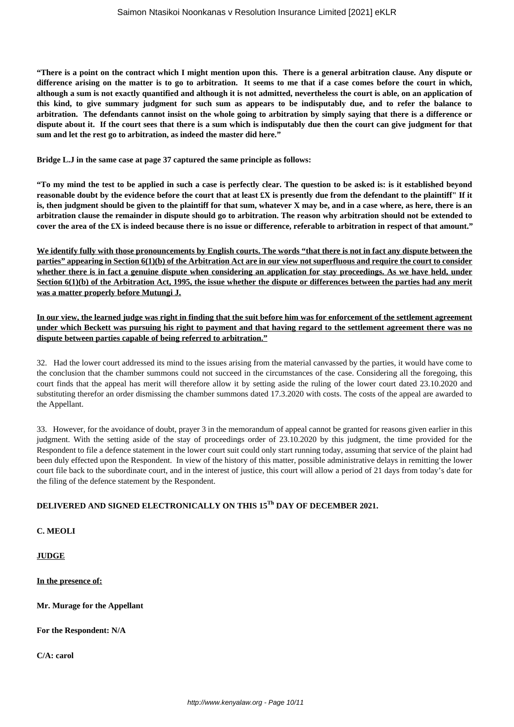**"There is a point on the contract which I might mention upon this. There is a general arbitration clause. Any dispute or difference arising on the matter is to go to arbitration. It seems to me that if a case comes before the court in which, although a sum is not exactly quantified and although it is not admitted, nevertheless the court is able, on an application of this kind, to give summary judgment for such sum as appears to be indisputably due, and to refer the balance to arbitration. The defendants cannot insist on the whole going to arbitration by simply saying that there is a difference or dispute about it. If the court sees that there is a sum which is indisputably due then the court can give judgment for that sum and let the rest go to arbitration, as indeed the master did here."**

**Bridge L.J in the same case at page 37 captured the same principle as follows:**

**"To my mind the test to be applied in such a case is perfectly clear. The question to be asked is: is it established beyond reasonable doubt by the evidence before the court that at least £X is presently due from the defendant to the plaintiff" If it is, then judgment should be given to the plaintiff for that sum, whatever X may be, and in a case where, as here, there is an arbitration clause the remainder in dispute should go to arbitration. The reason why arbitration should not be extended to cover the area of the £X is indeed because there is no issue or difference, referable to arbitration in respect of that amount."**

**We identify fully with those pronouncements by English courts. The words "that there is not in fact any dispute between the parties" appearing in Section 6(1)(b) of the Arbitration Act are in our view not superfluous and require the court to consider whether there is in fact a genuine dispute when considering an application for stay proceedings. As we have held, under Section 6(1)(b) of the Arbitration Act, 1995, the issue whether the dispute or differences between the parties had any merit was a matter properly before Mutungi J.**

**In our view, the learned judge was right in finding that the suit before him was for enforcement of the settlement agreement under which Beckett was pursuing his right to payment and that having regard to the settlement agreement there was no dispute between parties capable of being referred to arbitration."**

32. Had the lower court addressed its mind to the issues arising from the material canvassed by the parties, it would have come to the conclusion that the chamber summons could not succeed in the circumstances of the case. Considering all the foregoing, this court finds that the appeal has merit will therefore allow it by setting aside the ruling of the lower court dated 23.10.2020 and substituting therefor an order dismissing the chamber summons dated 17.3.2020 with costs. The costs of the appeal are awarded to the Appellant.

33. However, for the avoidance of doubt, prayer 3 in the memorandum of appeal cannot be granted for reasons given earlier in this judgment. With the setting aside of the stay of proceedings order of 23.10.2020 by this judgment, the time provided for the Respondent to file a defence statement in the lower court suit could only start running today, assuming that service of the plaint had been duly effected upon the Respondent. In view of the history of this matter, possible administrative delays in remitting the lower court file back to the subordinate court, and in the interest of justice, this court will allow a period of 21 days from today's date for the filing of the defence statement by the Respondent.

# **DELIVERED AND SIGNED ELECTRONICALLY ON THIS 15Th DAY OF DECEMBER 2021.**

**C. MEOLI**

**JUDGE**

**In the presence of:**

**Mr. Murage for the Appellant**

**For the Respondent: N/A**

**C/A: carol**